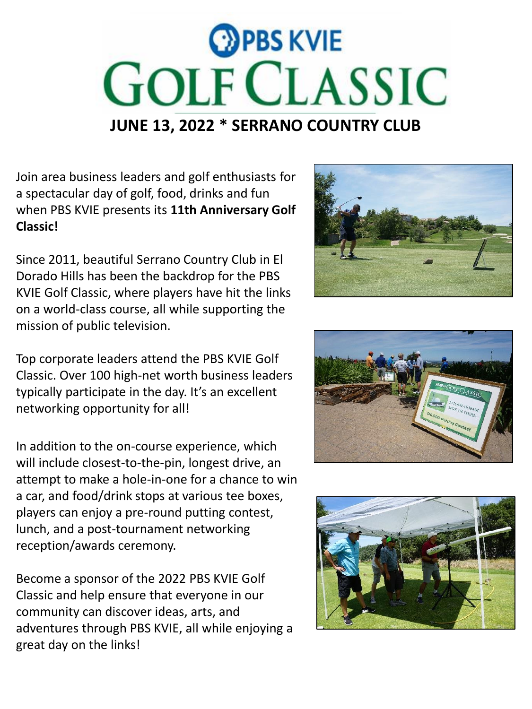

Join area business leaders and golf enthusiasts for a spectacular day of golf, food, drinks and fun when PBS KVIE presents its **11th Anniversary Golf Classic!**

Since 2011, beautiful Serrano Country Club in El Dorado Hills has been the backdrop for the PBS KVIE Golf Classic, where players have hit the links on a world-class course, all while supporting the mission of public television.

Top corporate leaders attend the PBS KVIE Golf Classic. Over 100 high-net worth business leaders typically participate in the day. It's an excellent networking opportunity for all!

In addition to the on-course experience, which will include closest-to-the-pin, longest drive, an attempt to make a hole-in-one for a chance to win a car, and food/drink stops at various tee boxes, players can enjoy a pre-round putting contest, lunch, and a post-tournament networking reception/awards ceremony.

Become a sponsor of the 2022 PBS KVIE Golf Classic and help ensure that everyone in our community can discover ideas, arts, and adventures through PBS KVIE, all while enjoying a great day on the links!





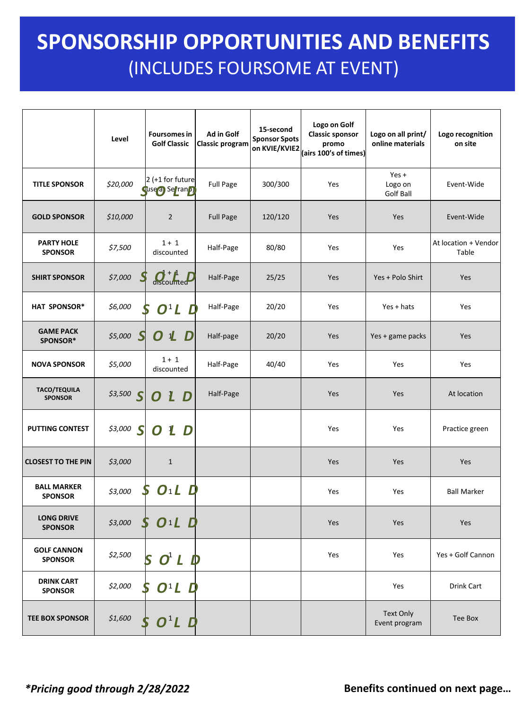## **SPONSORSHIP BENEFITS** (INCLUDES FOURSOME AT EVENT) **SPONSORSHIP OPPORTUNITIES AND BENEFITS**

|                                       | Level       | <b>Foursomes in</b><br><b>Golf Classic</b>      | Ad in Golf<br><b>Classic program</b> | 15-second<br><b>Sponsor Spots</b><br>on KVIE/KVIE2 | Logo on Golf<br><b>Classic sponsor</b><br>promo<br>(airs 100's of times) | Logo on all print/<br>online materials | Logo recognition<br>on site   |
|---------------------------------------|-------------|-------------------------------------------------|--------------------------------------|----------------------------------------------------|--------------------------------------------------------------------------|----------------------------------------|-------------------------------|
| <b>TITLE SPONSOR</b>                  | \$20,000    | $2$ (+1 for future<br>duse <sub>d</sub> Serrand | <b>Full Page</b>                     | 300/300                                            | Yes                                                                      | $Yes +$<br>Logo on<br><b>Golf Ball</b> | Event-Wide                    |
| <b>GOLD SPONSOR</b>                   | \$10,000    | $\overline{2}$                                  | <b>Full Page</b>                     | 120/120                                            | Yes                                                                      | Yes                                    | Event-Wide                    |
| <b>PARTY HOLE</b><br><b>SPONSOR</b>   | \$7,500     | $1 + 1$<br>discounted                           | Half-Page                            | 80/80                                              | Yes                                                                      | Yes                                    | At location + Vendor<br>Table |
| <b>SHIRT SPONSOR</b>                  | \$7,000     | $Q_{\text{scouftled}}^{+1}P$                    | Half-Page                            | 25/25                                              | Yes                                                                      | Yes + Polo Shirt                       | Yes                           |
| HAT SPONSOR*                          | \$6,000     | $O^1L$                                          | Half-Page                            | 20/20                                              | Yes                                                                      | Yes + hats                             | Yes                           |
| <b>GAME PACK</b><br>SPONSOR*          | \$5,000 $S$ | O 1<br>D                                        | Half-page                            | 20/20                                              | Yes                                                                      | Yes + game packs                       | Yes                           |
| <b>NOVA SPONSOR</b>                   | \$5,000     | $1 + 1$<br>discounted                           | Half-Page                            | 40/40                                              | Yes                                                                      | Yes                                    | Yes                           |
| <b>TACO/TEQUILA</b><br><b>SPONSOR</b> | \$3,500 $S$ | 0 L D                                           | Half-Page                            |                                                    | Yes                                                                      | Yes                                    | At location                   |
| <b>PUTTING CONTEST</b>                | $$3,000$ S  | L D<br>O                                        |                                      |                                                    | Yes                                                                      | Yes                                    | Practice green                |
| <b>CLOSEST TO THE PIN</b>             | \$3,000     | $\mathbf{1}$                                    |                                      |                                                    | Yes                                                                      | Yes                                    | Yes                           |
| <b>BALL MARKER</b><br><b>SPONSOR</b>  | \$3,000     | $O_1L$ D<br>S                                   |                                      |                                                    | Yes                                                                      | Yes                                    | <b>Ball Marker</b>            |
| <b>LONG DRIVE</b><br><b>SPONSOR</b>   | \$3,000     | $O1L$ $D2$                                      |                                      |                                                    | Yes                                                                      | Yes                                    | Yes                           |
| <b>GOLF CANNON</b><br><b>SPONSOR</b>  | \$2,500     | 5<br>$O+ L$<br>$\mathbf D$                      |                                      |                                                    | Yes                                                                      | Yes                                    | Yes + Golf Cannon             |
| <b>DRINK CART</b><br><b>SPONSOR</b>   | \$2,000     | $O^1L$<br>D                                     |                                      |                                                    |                                                                          | Yes                                    | Drink Cart                    |
| <b>TEE BOX SPONSOR</b>                | \$1,600     | $O^1L$ $D$                                      |                                      |                                                    |                                                                          | <b>Text Only</b><br>Event program      | Tee Box                       |